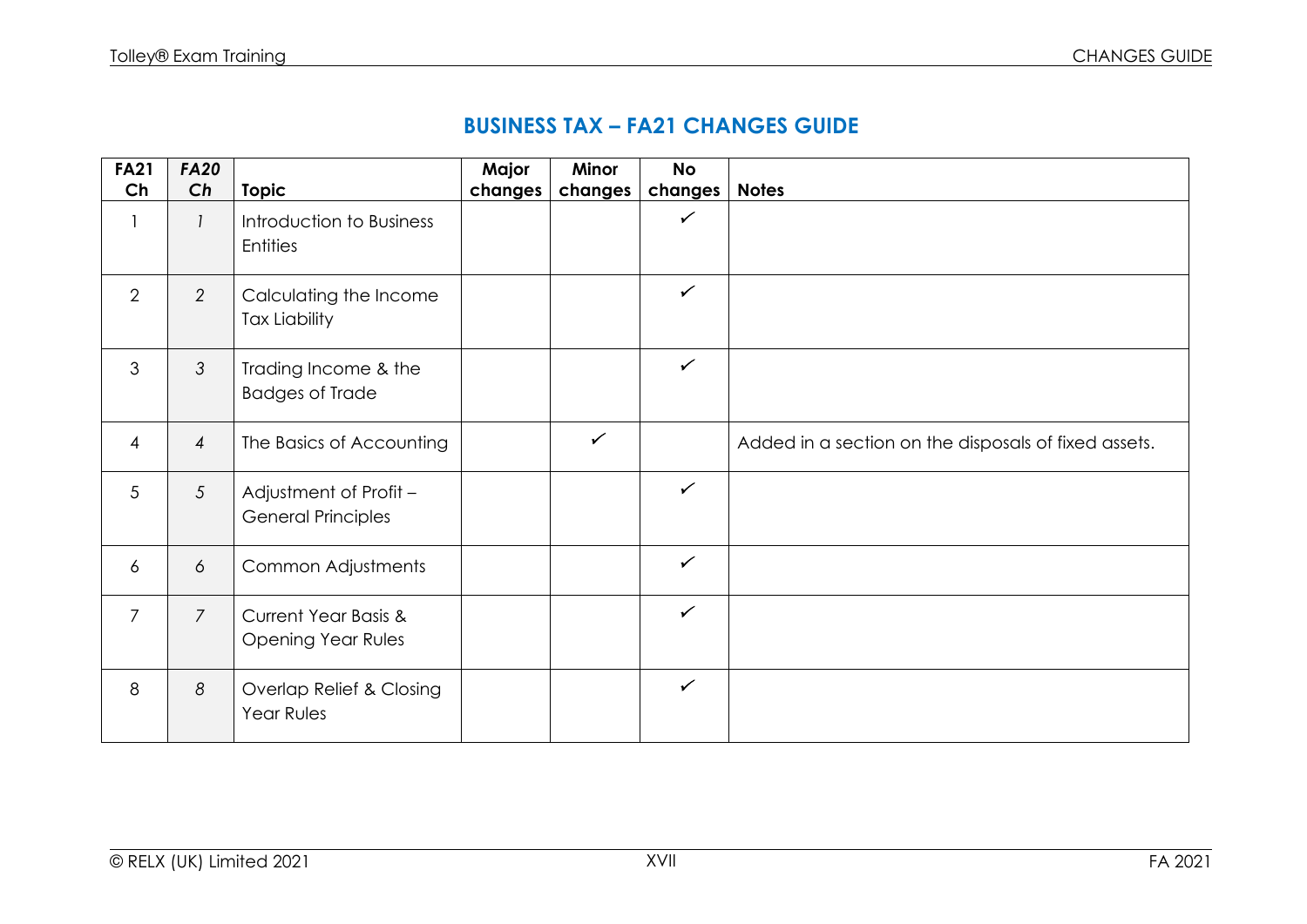## **BUSINESS TAX – FA21 CHANGES GUIDE**

| <b>FA21</b><br>Ch | <b>FA20</b><br>Ch | <b>Topic</b>                                                 | Major<br>changes | Minor<br>changes | <b>No</b><br>changes | <b>Notes</b>                                         |
|-------------------|-------------------|--------------------------------------------------------------|------------------|------------------|----------------------|------------------------------------------------------|
|                   | $\mathcal{I}$     | Introduction to Business<br>Entities                         |                  |                  | $\checkmark$         |                                                      |
| $\overline{2}$    | 2                 | Calculating the Income<br><b>Tax Liability</b>               |                  |                  | $\checkmark$         |                                                      |
| $\mathfrak{S}$    | $\mathcal{S}$     | Trading Income & the<br><b>Badges of Trade</b>               |                  |                  | $\checkmark$         |                                                      |
| 4                 | $\overline{4}$    | The Basics of Accounting                                     |                  | $\checkmark$     |                      | Added in a section on the disposals of fixed assets. |
| 5                 | 5                 | Adjustment of Profit -<br><b>General Principles</b>          |                  |                  | $\checkmark$         |                                                      |
| 6                 | 6                 | Common Adjustments                                           |                  |                  | $\checkmark$         |                                                      |
| $\overline{7}$    | $\overline{7}$    | <b>Current Year Basis &amp;</b><br><b>Opening Year Rules</b> |                  |                  | $\checkmark$         |                                                      |
| 8                 | 8                 | Overlap Relief & Closing<br>Year Rules                       |                  |                  | $\checkmark$         |                                                      |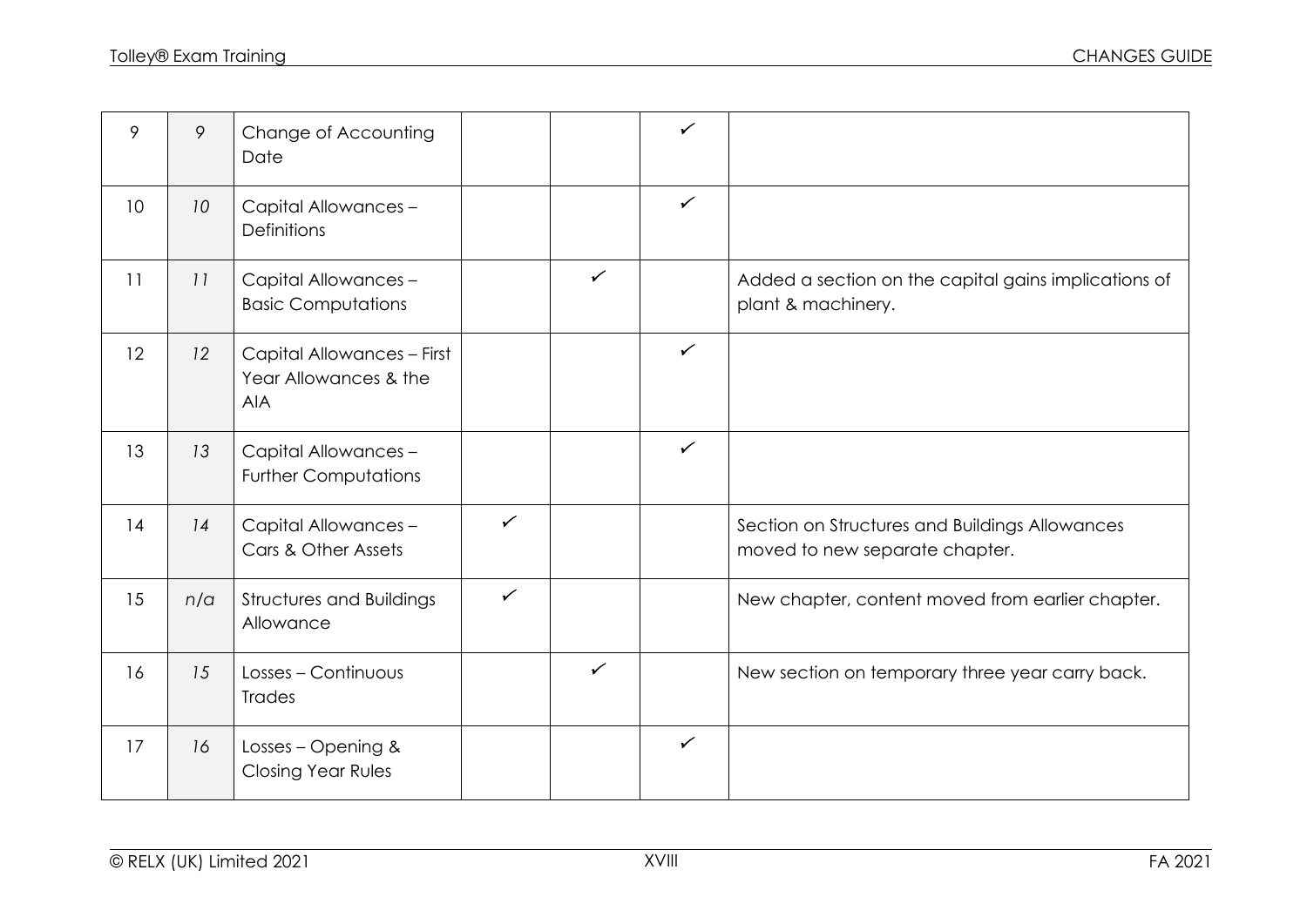| 9               | 9               | Change of Accounting<br>Date                                      |   |              | $\checkmark$ |                                                                                  |
|-----------------|-----------------|-------------------------------------------------------------------|---|--------------|--------------|----------------------------------------------------------------------------------|
| 10 <sup>°</sup> | 10 <sup>°</sup> | Capital Allowances -<br>Definitions                               |   |              | $\checkmark$ |                                                                                  |
| 11              | 11              | Capital Allowances -<br><b>Basic Computations</b>                 |   | $\checkmark$ |              | Added a section on the capital gains implications of<br>plant & machinery.       |
| 12              | 12              | Capital Allowances - First<br>Year Allowances & the<br><b>AIA</b> |   |              | $\checkmark$ |                                                                                  |
| 13              | 13              | Capital Allowances -<br><b>Further Computations</b>               |   |              | $\checkmark$ |                                                                                  |
| 14              | 14              | Capital Allowances -<br>Cars & Other Assets                       | ✓ |              |              | Section on Structures and Buildings Allowances<br>moved to new separate chapter. |
| 15              | n/a             | <b>Structures and Buildings</b><br>Allowance                      | ✓ |              |              | New chapter, content moved from earlier chapter.                                 |
| 16              | 15              | Losses - Continuous<br><b>Trades</b>                              |   | $\checkmark$ |              | New section on temporary three year carry back.                                  |
| 17              | 16              | Losses - Opening &<br>Closing Year Rules                          |   |              | $\checkmark$ |                                                                                  |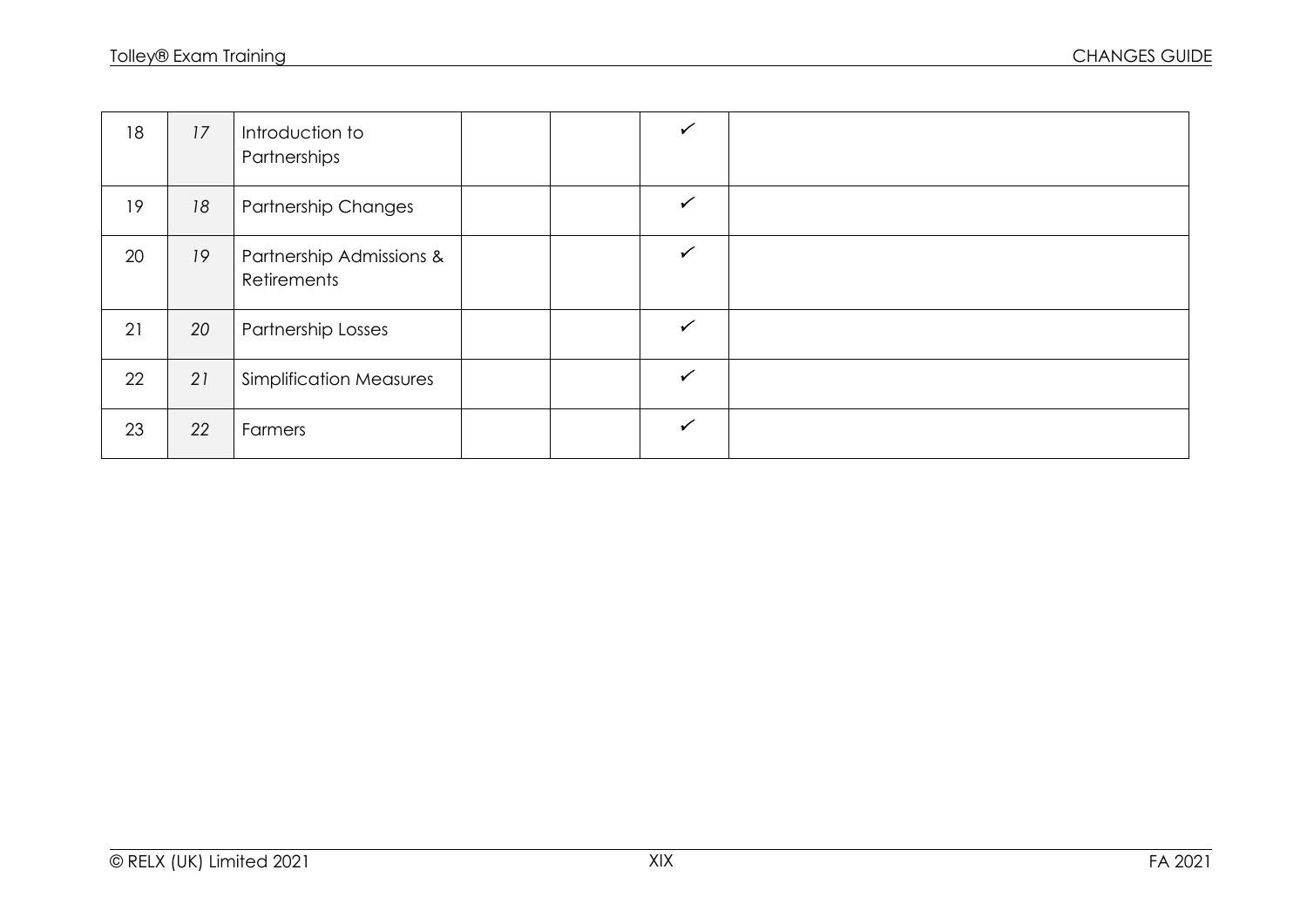| 18 | 17 | Introduction to<br>Partnerships         | ✓            |  |
|----|----|-----------------------------------------|--------------|--|
| 19 | 18 | <b>Partnership Changes</b>              | ✓            |  |
| 20 | 19 | Partnership Admissions &<br>Retirements | $\checkmark$ |  |
| 21 | 20 | Partnership Losses                      | ✓            |  |
| 22 | 21 | <b>Simplification Measures</b>          | $\checkmark$ |  |
| 23 | 22 | Farmers                                 | ✓            |  |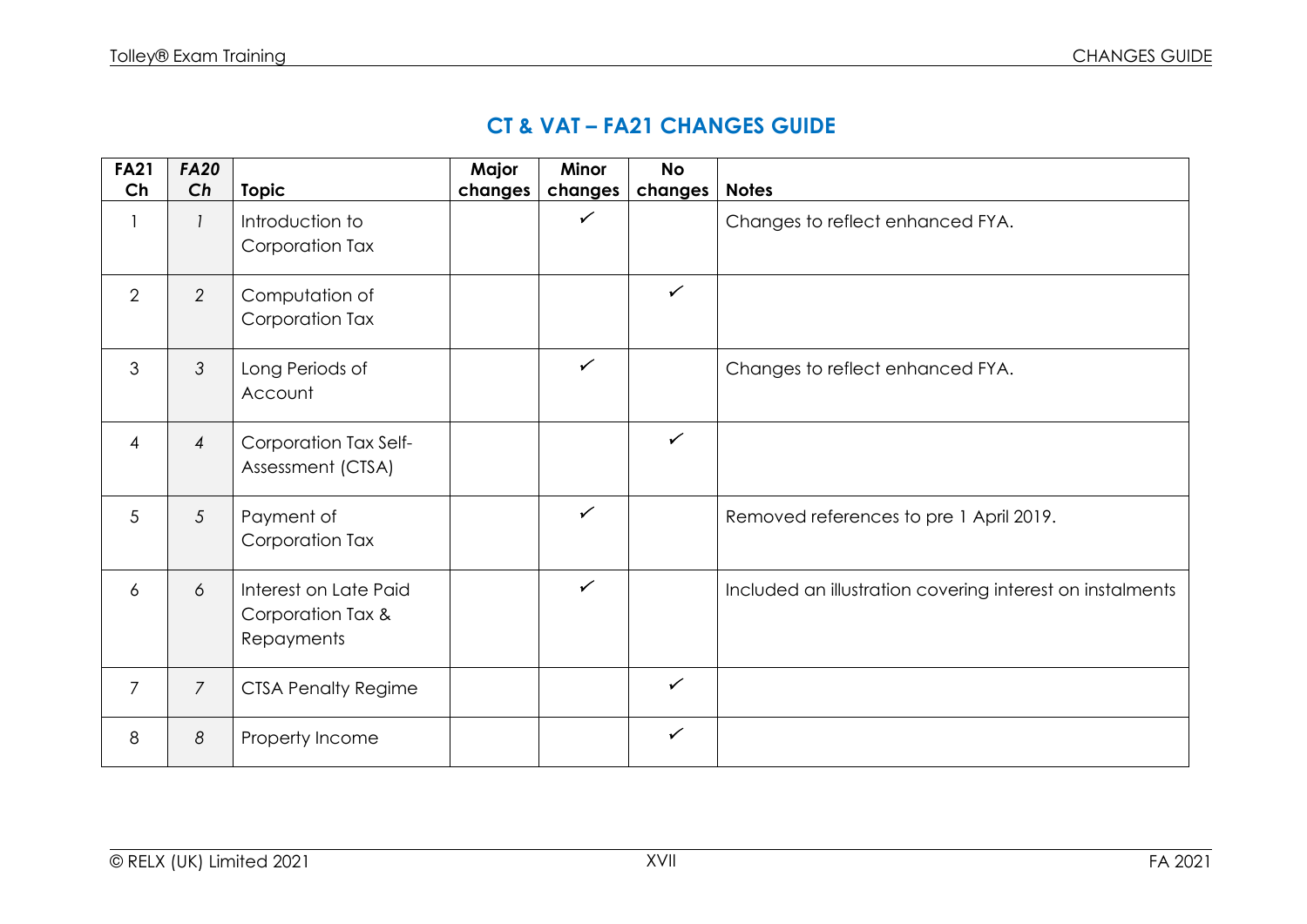## **CT & VAT – FA21 CHANGES GUIDE**

| <b>FA21</b><br>Ch | <b>FA20</b><br>Ch | <b>Topic</b>                                             | Major<br>changes | <b>Minor</b><br>changes | <b>No</b><br>changes | <b>Notes</b>                                              |
|-------------------|-------------------|----------------------------------------------------------|------------------|-------------------------|----------------------|-----------------------------------------------------------|
|                   | 1                 | Introduction to<br>Corporation Tax                       |                  | $\checkmark$            |                      | Changes to reflect enhanced FYA.                          |
| 2                 | $\overline{2}$    | Computation of<br>Corporation Tax                        |                  |                         | $\checkmark$         |                                                           |
| 3                 | 3                 | Long Periods of<br>Account                               |                  | $\checkmark$            |                      | Changes to reflect enhanced FYA.                          |
| $\overline{4}$    | $\overline{4}$    | Corporation Tax Self-<br>Assessment (CTSA)               |                  |                         | $\checkmark$         |                                                           |
| 5                 | 5                 | Payment of<br>Corporation Tax                            |                  | $\checkmark$            |                      | Removed references to pre 1 April 2019.                   |
| 6                 | 6                 | Interest on Late Paid<br>Corporation Tax &<br>Repayments |                  | $\checkmark$            |                      | Included an illustration covering interest on instalments |
| $\overline{7}$    | $\overline{7}$    | <b>CTSA Penalty Regime</b>                               |                  |                         | $\checkmark$         |                                                           |
| 8                 | 8                 | Property Income                                          |                  |                         | $\checkmark$         |                                                           |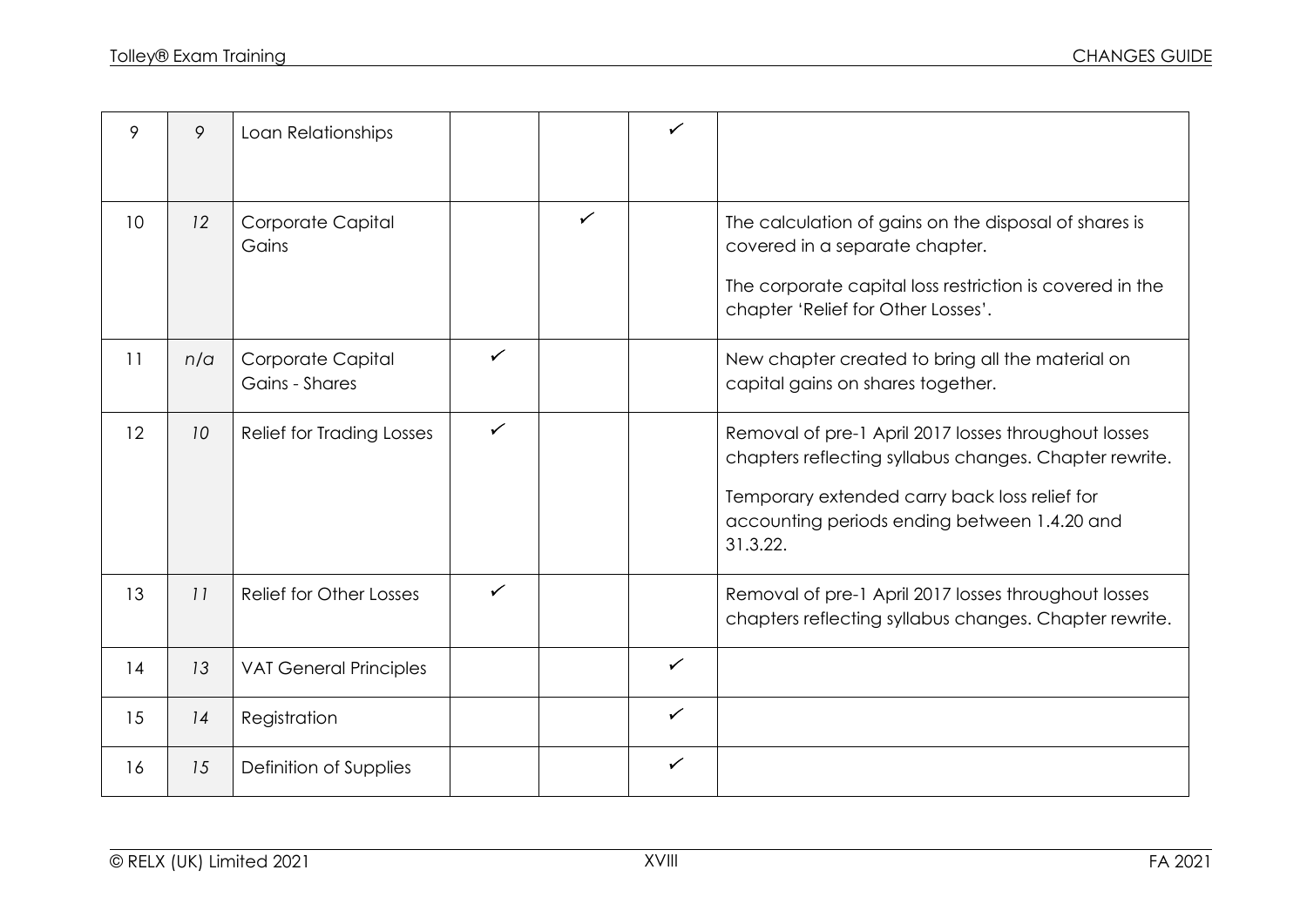| 9  | 9   | Loan Relationships                  |              |              | $\checkmark$ |                                                                                                                                                                                                                             |
|----|-----|-------------------------------------|--------------|--------------|--------------|-----------------------------------------------------------------------------------------------------------------------------------------------------------------------------------------------------------------------------|
| 10 | 12  | Corporate Capital<br>Gains          |              | $\checkmark$ |              | The calculation of gains on the disposal of shares is<br>covered in a separate chapter.<br>The corporate capital loss restriction is covered in the<br>chapter 'Relief for Other Losses'.                                   |
| 11 | n/a | Corporate Capital<br>Gains - Shares | $\checkmark$ |              |              | New chapter created to bring all the material on<br>capital gains on shares together.                                                                                                                                       |
| 12 | 10  | <b>Relief for Trading Losses</b>    | $\checkmark$ |              |              | Removal of pre-1 April 2017 losses throughout losses<br>chapters reflecting syllabus changes. Chapter rewrite.<br>Temporary extended carry back loss relief for<br>accounting periods ending between 1.4.20 and<br>31.3.22. |
| 13 | 11  | <b>Relief for Other Losses</b>      | $\checkmark$ |              |              | Removal of pre-1 April 2017 losses throughout losses<br>chapters reflecting syllabus changes. Chapter rewrite.                                                                                                              |
| 14 | 13  | <b>VAT General Principles</b>       |              |              | $\checkmark$ |                                                                                                                                                                                                                             |
| 15 | 14  | Registration                        |              |              | $\checkmark$ |                                                                                                                                                                                                                             |
| 16 | 15  | Definition of Supplies              |              |              | $\checkmark$ |                                                                                                                                                                                                                             |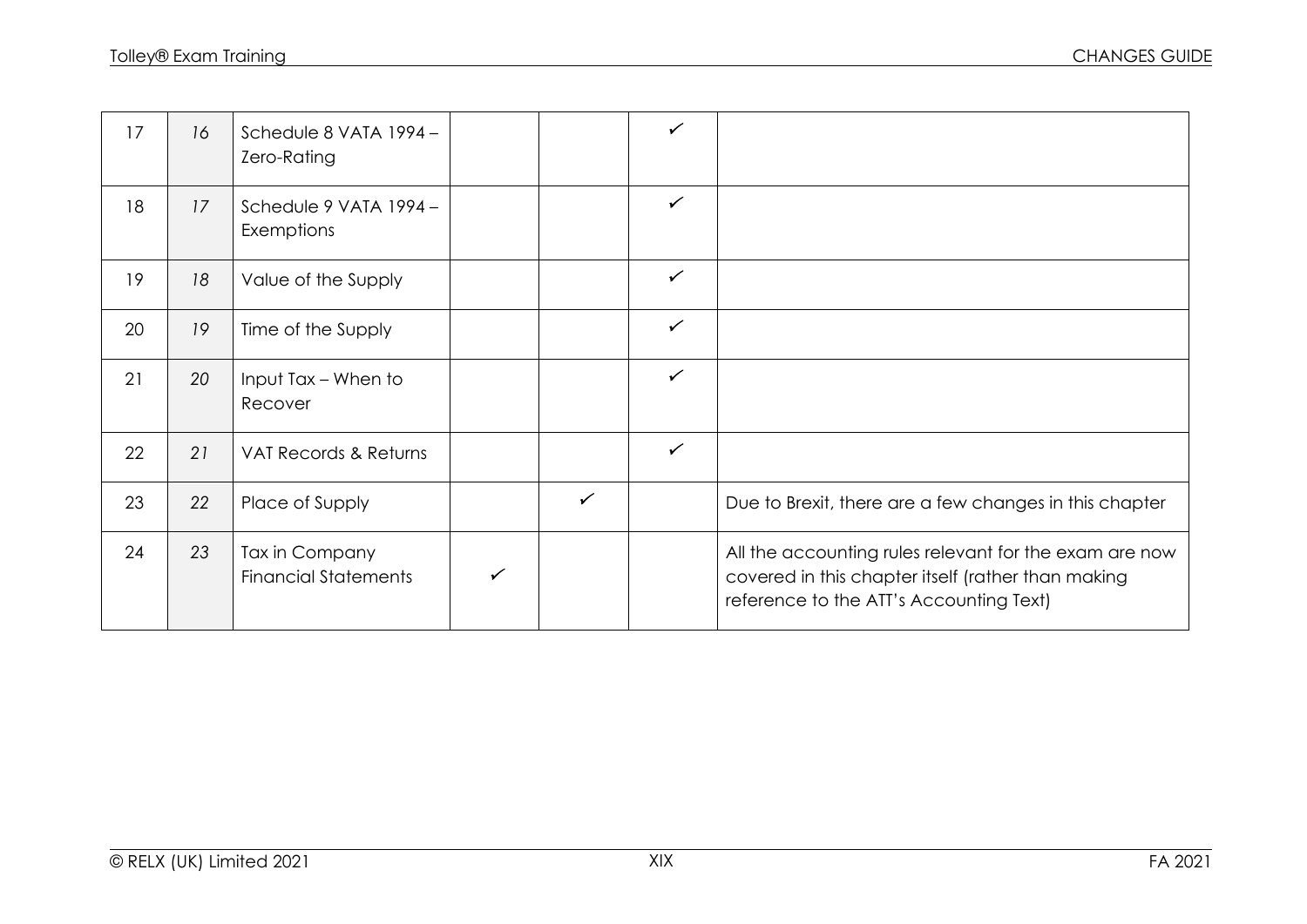| 17 | 16 | Schedule 8 VATA 1994 -<br>Zero-Rating         |              |              | $\checkmark$ |                                                                                                                                                         |
|----|----|-----------------------------------------------|--------------|--------------|--------------|---------------------------------------------------------------------------------------------------------------------------------------------------------|
| 18 | 17 | Schedule 9 VATA 1994 -<br>Exemptions          |              |              | $\checkmark$ |                                                                                                                                                         |
| 19 | 18 | Value of the Supply                           |              |              | $\checkmark$ |                                                                                                                                                         |
| 20 | 19 | Time of the Supply                            |              |              | $\checkmark$ |                                                                                                                                                         |
| 21 | 20 | Input Tax - When to<br>Recover                |              |              | $\checkmark$ |                                                                                                                                                         |
| 22 | 21 | VAT Records & Returns                         |              |              | $\checkmark$ |                                                                                                                                                         |
| 23 | 22 | Place of Supply                               |              | $\checkmark$ |              | Due to Brexit, there are a few changes in this chapter                                                                                                  |
| 24 | 23 | Tax in Company<br><b>Financial Statements</b> | $\checkmark$ |              |              | All the accounting rules relevant for the exam are now<br>covered in this chapter itself (rather than making<br>reference to the ATT's Accounting Text) |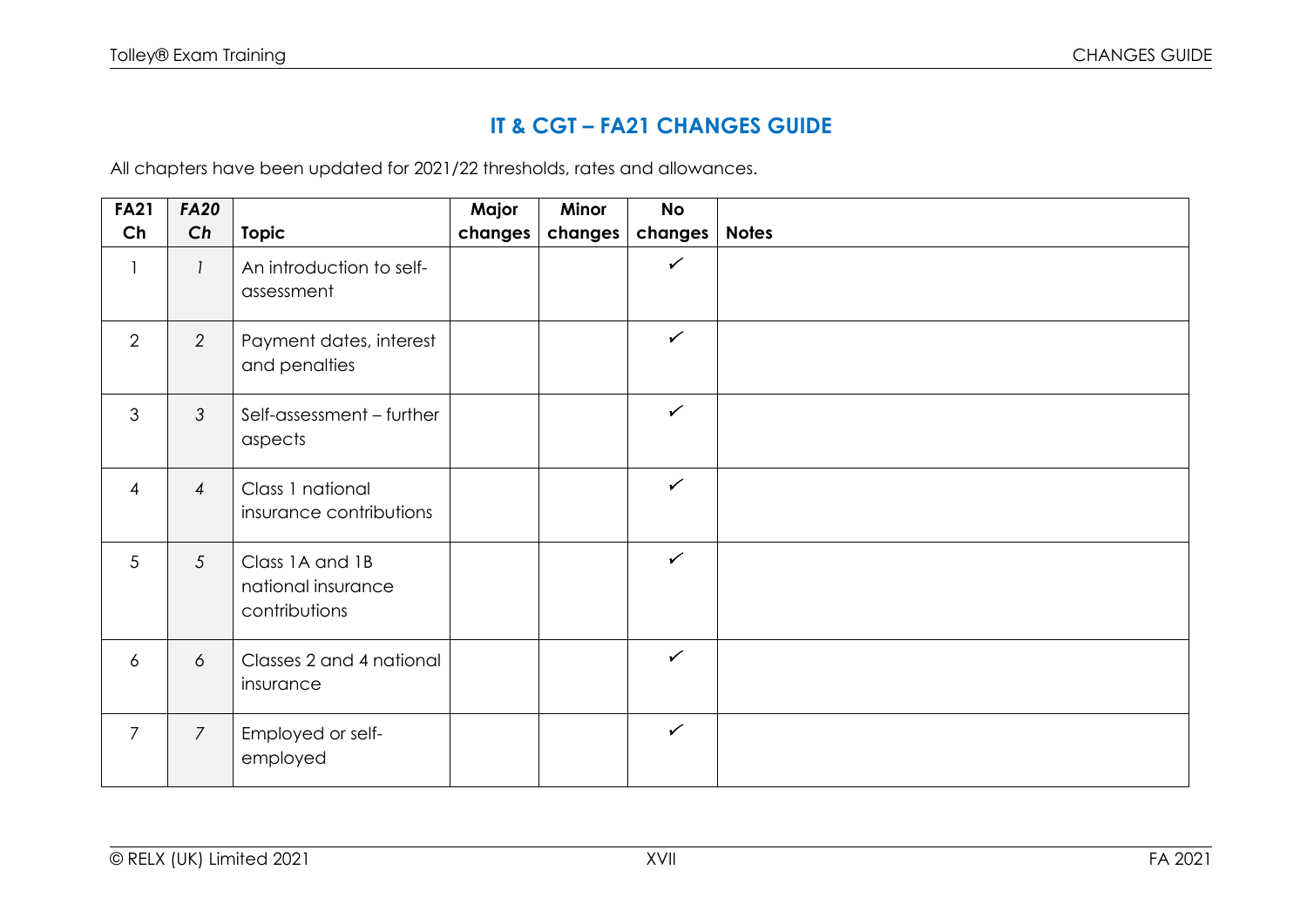## **IT & CGT – FA21 CHANGES GUIDE**

All chapters have been updated for 2021/22 thresholds, rates and allowances.

| <b>FA21</b>    | <b>FA20</b>     |                                                        | Major   | Minor   | <b>No</b>    |              |
|----------------|-----------------|--------------------------------------------------------|---------|---------|--------------|--------------|
| Ch             | Ch              | <b>Topic</b>                                           | changes | changes | changes      | <b>Notes</b> |
|                | $\mathbf{1}$    | An introduction to self-<br>assessment                 |         |         | $\checkmark$ |              |
| $\overline{2}$ | 2               | Payment dates, interest<br>and penalties               |         |         | $\checkmark$ |              |
| 3              | $\mathfrak{Z}$  | Self-assessment - further<br>aspects                   |         |         | $\checkmark$ |              |
| $\overline{4}$ | $\overline{4}$  | Class 1 national<br>insurance contributions            |         |         | $\checkmark$ |              |
| 5              | $5\overline{)}$ | Class 1A and 1B<br>national insurance<br>contributions |         |         | $\checkmark$ |              |
| 6              | 6               | Classes 2 and 4 national<br>insurance                  |         |         | $\checkmark$ |              |
| $\overline{7}$ | $\overline{7}$  | Employed or self-<br>employed                          |         |         | $\checkmark$ |              |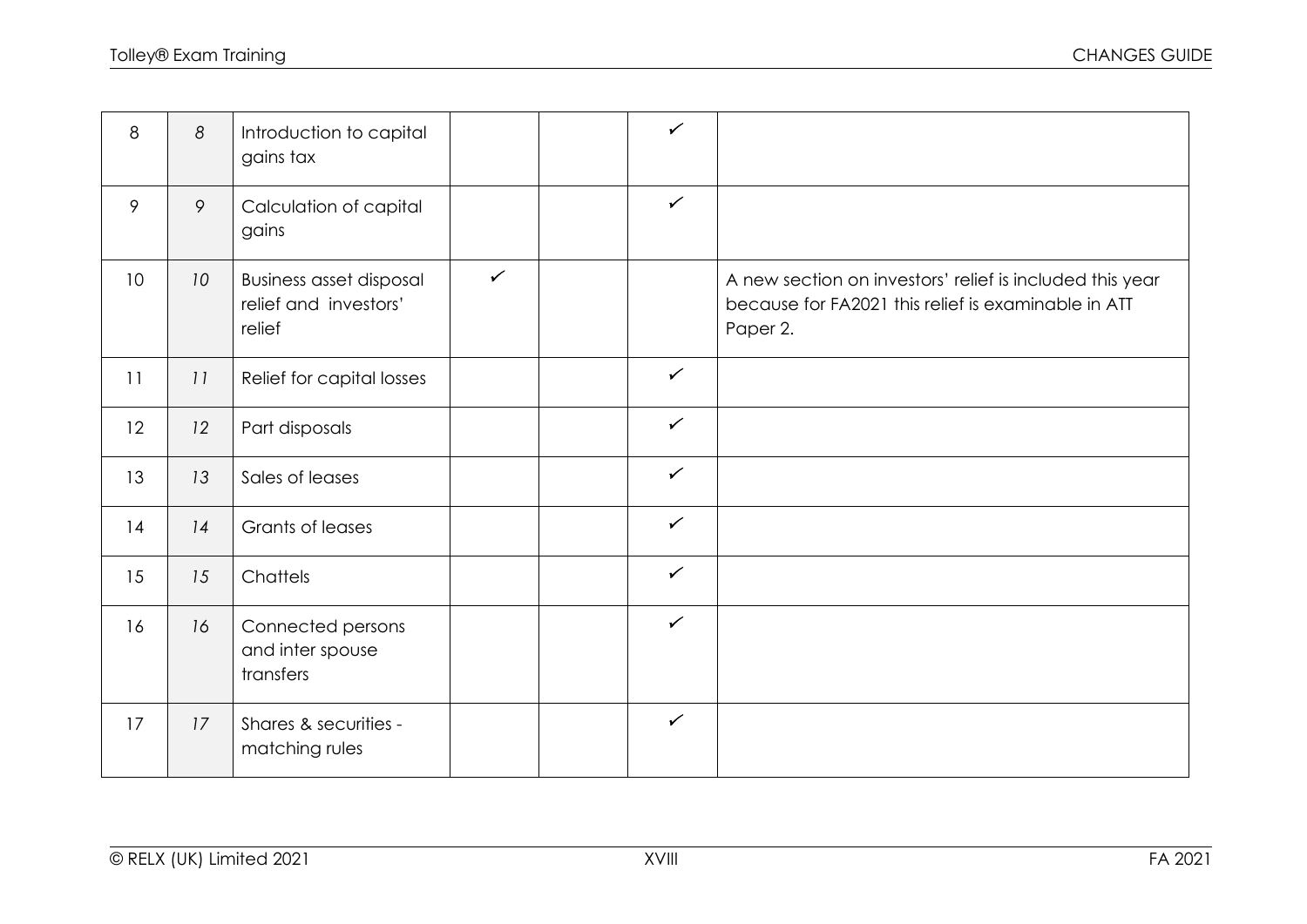| 8  | 8               | Introduction to capital<br>gains tax                              |              | $\checkmark$ |                                                                                                                             |
|----|-----------------|-------------------------------------------------------------------|--------------|--------------|-----------------------------------------------------------------------------------------------------------------------------|
| 9  | 9               | Calculation of capital<br>gains                                   |              | $\checkmark$ |                                                                                                                             |
| 10 | 10 <sup>°</sup> | <b>Business asset disposal</b><br>relief and investors'<br>relief | $\checkmark$ |              | A new section on investors' relief is included this year<br>because for FA2021 this relief is examinable in ATT<br>Paper 2. |
| 11 | 11              | Relief for capital losses                                         |              | $\checkmark$ |                                                                                                                             |
| 12 | 12              | Part disposals                                                    |              | $\checkmark$ |                                                                                                                             |
| 13 | 13              | Sales of leases                                                   |              | $\checkmark$ |                                                                                                                             |
| 14 | 14              | Grants of leases                                                  |              | $\checkmark$ |                                                                                                                             |
| 15 | 15              | Chattels                                                          |              | $\checkmark$ |                                                                                                                             |
| 16 | 16              | Connected persons<br>and inter spouse<br>transfers                |              | $\checkmark$ |                                                                                                                             |
| 17 | 17              | Shares & securities -<br>matching rules                           |              | $\checkmark$ |                                                                                                                             |